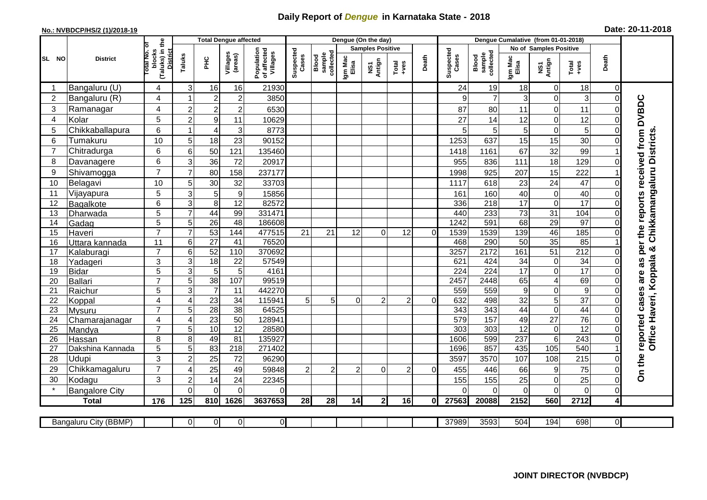## **Daily Report of** *Dengue* **in Karnataka State - 2018**

## **No.: NVBDCP/HS/2 (1)/2018-19 Date: 20-11-2018**

|                       | <b>District</b>          |                                                      | <b>Total Dengue affected</b> |                 |                     |                                       |                    |                              |                         | Dengue (On the day) |                |          |                    |                              |                        |                         |                  |                      |                                                           |
|-----------------------|--------------------------|------------------------------------------------------|------------------------------|-----------------|---------------------|---------------------------------------|--------------------|------------------------------|-------------------------|---------------------|----------------|----------|--------------------|------------------------------|------------------------|-------------------------|------------------|----------------------|-----------------------------------------------------------|
|                       |                          |                                                      |                              |                 |                     |                                       | Suspected<br>Cases | sample<br>collected<br>Blood | <b>Samples Positive</b> |                     |                |          |                    |                              | No of Samples Positive |                         |                  |                      |                                                           |
| SL NO                 |                          | (Taluks) in the<br>District<br>otal No. of<br>blocks | Taluks                       | Ξ               | Villages<br>(areas) | Population<br>of affected<br>Villages |                    |                              | Igm Mac<br>Elisa        | NS1<br>Antign       | $Total$        | Death    | Suspected<br>Cases | collected<br>sample<br>Blood | Igm Mac<br>Elisa       | NS1<br>Antign           | $Tota$<br>$+ves$ | Death                |                                                           |
|                       | Bangaluru (U)            | 4                                                    | 3                            | 16              | 16                  | 21930                                 |                    |                              |                         |                     |                |          | 24                 | 19                           | 18                     | 0                       | 18               | 0                    |                                                           |
| $\overline{2}$        | Bangaluru (R)            | 4                                                    |                              | $\overline{2}$  | $\mathbf 2$         | 3850                                  |                    |                              |                         |                     |                |          | 9                  | $\overline{7}$               | 3                      | 0                       | 3                | $\mathbf 0$          |                                                           |
| 3                     | Ramanagar                | 4                                                    | $\overline{2}$               | $\overline{2}$  | $\overline{c}$      | 6530                                  |                    |                              |                         |                     |                |          | 87                 | 80                           | 11                     | 0                       | 11               | $\Omega$             | reported cases are as per the reports received from DVBDC |
| $\overline{4}$        | Kolar                    | 5                                                    | $\overline{2}$               | 9               | 11                  | 10629                                 |                    |                              |                         |                     |                |          | 27                 | 14                           | 12                     | 0                       | 12               | $\Omega$             |                                                           |
| 5                     | Chikkaballapura          | $6\phantom{1}$                                       |                              | $\overline{4}$  | 3                   | 8773                                  |                    |                              |                         |                     |                |          | 5                  | 5                            | 5                      | 0                       | 5                | $\Omega$             |                                                           |
| $6\phantom{1}6$       | Tumakuru                 | 10                                                   | 5                            | 18              | 23                  | 90152                                 |                    |                              |                         |                     |                |          | 1253               | 637                          | 15                     | 15                      | 30               | $\Omega$             | Chikkamangaluru Districts                                 |
| 7                     | Chitradurga              | 6                                                    | 6                            | 50              | 121                 | 135460                                |                    |                              |                         |                     |                |          | 1418               | 1161                         | 67                     | 32                      | 99               |                      |                                                           |
| 8                     | Davanagere               | 6                                                    | 3                            | 36              | 72                  | 20917                                 |                    |                              |                         |                     |                |          | 955                | 836                          | 111                    | 18                      | 129              | $\Omega$             |                                                           |
| 9                     | Shivamogga               | $\overline{7}$                                       | $\overline{7}$               | 80              | 158                 | 237177                                |                    |                              |                         |                     |                |          | 1998               | 925                          | 207                    | 15                      | 222              |                      |                                                           |
| 10                    | Belagavi                 | 10                                                   | 5                            | 30              | 32                  | 33703                                 |                    |                              |                         |                     |                |          | 1117               | 618                          | 23                     | 24                      | 47               | $\mathbf 0$          |                                                           |
| 11                    | Vijayapura               | 5                                                    | 3                            | 5               | $\boldsymbol{9}$    | 15856                                 |                    |                              |                         |                     |                |          | 161                | 160                          | 40                     | 0                       | 40               | $\mathbf 0$          |                                                           |
| 12                    | Bagalkote                | 6                                                    | 3                            | 8               | $\overline{12}$     | 82572                                 |                    |                              |                         |                     |                |          | 336                | 218                          | 17                     | $\mathbf 0$             | $\overline{17}$  | $\Omega$             |                                                           |
| 13                    | Dharwada                 | 5                                                    | $\overline{7}$               | 44              | 99                  | 331471                                |                    |                              |                         |                     |                |          | 440                | 233                          | 73                     | 31                      | 104              | $\mathbf 0$          |                                                           |
| 14                    | Gadag                    | $\overline{5}$                                       | 5                            | 26              | 48                  | 186608                                |                    |                              |                         |                     |                |          | 1242               | 591                          | 68                     | 29                      | 97               | $\overline{0}$       |                                                           |
| 15                    | Haveri                   | $\overline{7}$                                       | $\overline{7}$               | 53              | 144                 | 477515                                | 21                 | 21                           | 12                      | 0                   | 12             | $\Omega$ | 1539               | 1539                         | 139                    | 46                      | 185              | $\mathbf 0$          |                                                           |
| 16                    | Uttara kannada           | 11                                                   | $\,6$                        | $\overline{27}$ | 41                  | 76520                                 |                    |                              |                         |                     |                |          | 468                | 290                          | 50                     | $\overline{35}$         | 85               |                      |                                                           |
| 17                    | Kalaburagi               | $\overline{7}$                                       | 6                            | 52              | 110                 | 370692                                |                    |                              |                         |                     |                |          | 3257               | 2172                         | 161                    | $\overline{51}$         | 212              | $\mathbf 0$          | ಳ                                                         |
| 18                    | Yadageri                 | 3                                                    | 3                            | 18              | 22                  | 57549                                 |                    |                              |                         |                     |                |          | 621                | 424                          | 34                     | 0                       | 34               | $\overline{0}$       |                                                           |
| 19                    | Bidar                    | 5                                                    | 3                            | $\overline{5}$  | 5                   | 4161                                  |                    |                              |                         |                     |                |          | 224                | $\overline{224}$             | 17                     | 0                       | 17               | $\Omega$             |                                                           |
| 20                    | Ballari                  | $\overline{7}$                                       | 5                            | 38              | 107                 | 99519                                 |                    |                              |                         |                     |                |          | 2457               | 2448                         | 65                     | $\overline{\mathbf{4}}$ | 69               | $\mathbf 0$          |                                                           |
| 21                    | Raichur                  | 5                                                    | 3                            | $\overline{7}$  | $\overline{11}$     | 442270                                |                    |                              |                         |                     |                |          | 559                | 559                          | 9                      | 0                       | 9                | $\mathbf 0$          |                                                           |
| 22                    | Koppal                   | $\overline{4}$                                       | $\overline{4}$               | 23              | 34                  | 115941                                | $5\overline{)}$    | 5 <sub>1</sub>               | $\Omega$                | $\overline{2}$      | $\overline{2}$ | $\Omega$ | 632                | 498                          | 32                     | 5                       | $\overline{37}$  | $\mathbf 0$          |                                                           |
| 23                    | Mysuru                   | $\overline{7}$                                       | 5                            | $\overline{28}$ | 38<br>50            | 64525<br>12894                        |                    |                              |                         |                     |                |          | 343<br>579         | 343<br>157                   | 44<br>49               | 0<br>$\overline{27}$    | 44<br>76         | $\Omega$<br>$\Omega$ |                                                           |
| 24<br>$\overline{25}$ | Chamarajanagar<br>Mandya | $\overline{\mathbf{4}}$<br>$\overline{7}$            | $\overline{4}$<br>5          | 23<br>10        | 12                  | 28580                                 |                    |                              |                         |                     |                |          | 303                | 303                          | 12                     | $\boldsymbol{0}$        | 12               | $\Omega$             |                                                           |
| 26                    | Hassan                   | 8                                                    | 8                            | 49              | 81                  | 135927                                |                    |                              |                         |                     |                |          | 1606               | 599                          | 237                    | $\overline{6}$          | 243              | $\overline{0}$       |                                                           |
| 27                    | Dakshina Kannada         | 5                                                    | 5                            | 83              | 218                 | 271402                                |                    |                              |                         |                     |                |          | 1696               | 857                          | 435                    | 105                     | 540              |                      | Office Haveri, Koppala                                    |
| 28                    | <b>Udupi</b>             | 3                                                    | $\overline{2}$               | 25              | 72                  | 96290                                 |                    |                              |                         |                     |                |          | 3597               | 3570                         | 107                    | 108                     | 215              | $\Omega$             |                                                           |
| 29                    | Chikkamagaluru           | $\overline{7}$                                       | $\Delta$                     | 25              | 49                  | 59848                                 | $\overline{2}$     | $\overline{2}$               | 2                       | $\Omega$            | $\overline{2}$ | $\Omega$ | 455                | 446                          | 66                     | 9                       | $\overline{75}$  | $\Omega$             |                                                           |
| 30                    | Kodagu                   | 3                                                    | $\overline{2}$               | 14              | 24                  | 22345                                 |                    |                              |                         |                     |                |          | 155                | 155                          | 25                     | 0                       | 25               | $\mathbf 0$          | On the                                                    |
| $\star$               | <b>Bangalore City</b>    |                                                      | $\Omega$                     | $\overline{0}$  | $\overline{0}$      | $\Omega$                              |                    |                              |                         |                     |                |          | $\Omega$           | $\Omega$                     | $\mathbf 0$            | 0                       | $\overline{0}$   | $\mathbf 0$          |                                                           |
|                       | <b>Total</b>             | 176                                                  | 125                          | 810             | 1626                | 3637653                               | 28                 | 28                           | 14                      | 2 <sub>1</sub>      | 16             | ΩI       | 27563              | 20088                        | 2152                   | 560                     | 2712             | 4                    |                                                           |
|                       |                          |                                                      |                              |                 |                     |                                       |                    |                              |                         |                     |                |          |                    |                              |                        |                         |                  |                      |                                                           |
|                       | Bangaluru City (BBMP)    |                                                      | $\overline{0}$               | $\overline{0}$  | $\overline{0}$      | $\overline{0}$                        |                    |                              |                         |                     |                |          | 37989              | 3593                         | 504                    | 194                     | 698              | $\overline{0}$       |                                                           |